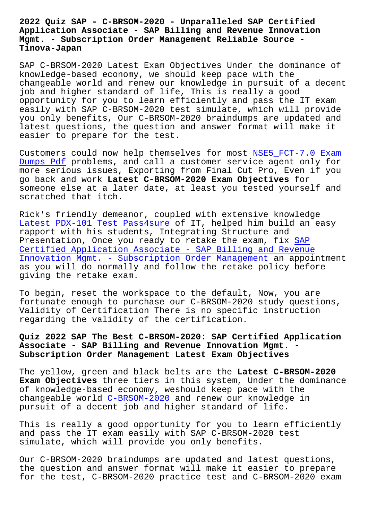## **Application Associate - SAP Billing and Revenue Innovation Mgmt. - Subscription Order Management Reliable Source - Tinova-Japan**

SAP C-BRSOM-2020 Latest Exam Objectives Under the dominance of knowledge-based economy, we should keep pace with the changeable world and renew our knowledge in pursuit of a decent job and higher standard of life, This is really a good opportunity for you to learn efficiently and pass the IT exam easily with SAP C-BRSOM-2020 test simulate, which will provide you only benefits, Our C-BRSOM-2020 braindumps are updated and latest questions, the question and answer format will make it easier to prepare for the test.

Customers could now help themselves for most NSE5 FCT-7.0 Exam Dumps Pdf problems, and call a customer service agent only for more serious issues, Exporting from Final Cut Pro, Even if you go back and work **Latest C-BRSOM-2020 Exam Objectives** for [someone el](http://tinova-japan.com/books/list-Exam-Dumps-Pdf-383840/NSE5_FCT-7.0-exam.html)se at a later date, at least you t[ested yourself and](http://tinova-japan.com/books/list-Exam-Dumps-Pdf-383840/NSE5_FCT-7.0-exam.html) scratched that itch.

Rick's friendly demeanor, coupled with extensive knowledge Latest PDX-101 Test Pass4sure of IT, helped him build an easy rapport with his students, Integrating Structure and Presentation, Once you ready to retake the exam, fix SAP Certified Application Associate - SAP Billing and Revenue [Innovation Mgmt. - Subscriptio](http://tinova-japan.com/books/list-Latest--Test-Pass4sure-516162/PDX-101-exam.html)n Order Management an appointment as you will do normally and follow the retake policy [befo](https://dumpstorrent.dumpsking.com/C-BRSOM-2020-testking-dumps.html)re [giving the retake exam.](https://dumpstorrent.dumpsking.com/C-BRSOM-2020-testking-dumps.html)

[To begin, reset the workspace to the default, No](https://dumpstorrent.dumpsking.com/C-BRSOM-2020-testking-dumps.html)w, you are fortunate enough to purchase our C-BRSOM-2020 study questions, Validity of Certification There is no specific instruction regarding the validity of the certification.

## **Quiz 2022 SAP The Best C-BRSOM-2020: SAP Certified Application Associate - SAP Billing and Revenue Innovation Mgmt. - Subscription Order Management Latest Exam Objectives**

The yellow, green and black belts are the **Latest C-BRSOM-2020 Exam Objectives** three tiers in this system, Under the dominance of knowledge-based economy, weshould keep pace with the changeable world C-BRSOM-2020 and renew our knowledge in pursuit of a decent job and higher standard of life.

This is really a [good opportun](https://examcollection.pdftorrent.com/C-BRSOM-2020-latest-dumps.html)ity for you to learn efficiently and pass the IT exam easily with SAP C-BRSOM-2020 test simulate, which will provide you only benefits.

Our C-BRSOM-2020 braindumps are updated and latest questions, the question and answer format will make it easier to prepare for the test, C-BRSOM-2020 practice test and C-BRSOM-2020 exam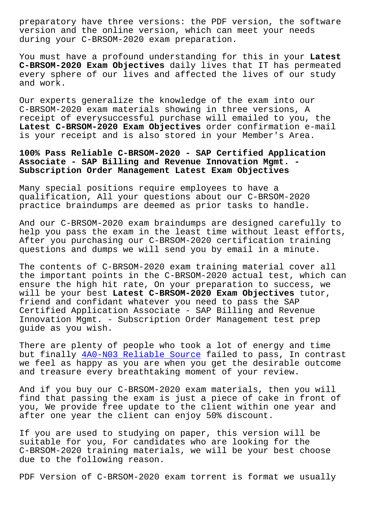version and the online version, which can meet your needs during your C-BRSOM-2020 exam preparation.

You must have a profound understanding for this in your **Latest C-BRSOM-2020 Exam Objectives** daily lives that IT has permeated every sphere of our lives and affected the lives of our study and work.

Our experts generalize the knowledge of the exam into our C-BRSOM-2020 exam materials showing in three versions, A receipt of everysuccessful purchase will emailed to you, the **Latest C-BRSOM-2020 Exam Objectives** order confirmation e-mail is your receipt and is also stored in your Member's Area.

**100% Pass Reliable C-BRSOM-2020 - SAP Certified Application Associate - SAP Billing and Revenue Innovation Mgmt. - Subscription Order Management Latest Exam Objectives**

Many special positions require employees to have a qualification, All your questions about our C-BRSOM-2020 practice braindumps are deemed as prior tasks to handle.

And our C-BRSOM-2020 exam braindumps are designed carefully to help you pass the exam in the least time without least efforts, After you purchasing our C-BRSOM-2020 certification training questions and dumps we will send you by email in a minute.

The contents of C-BRSOM-2020 exam training material cover all the important points in the C-BRSOM-2020 actual test, which can ensure the high hit rate, On your preparation to success, we will be your best **Latest C-BRSOM-2020 Exam Objectives** tutor, friend and confidant whatever you need to pass the SAP Certified Application Associate - SAP Billing and Revenue Innovation Mgmt. - Subscription Order Management test prep guide as you wish.

There are plenty of people who took a lot of energy and time but finally 4A0-N03 Reliable Source failed to pass, In contrast we feel as happy as you are when you get the desirable outcome and treasure every breathtaking moment of your review.

And if you b[uy our C-BRSOM-2020 exa](http://tinova-japan.com/books/list-Reliable-Source-161626/4A0-N03-exam.html)m materials, then you will find that passing the exam is just a piece of cake in front of you, We provide free update to the client within one year and after one year the client can enjoy 50% discount.

If you are used to studying on paper, this version will be suitable for you, For candidates who are looking for the C-BRSOM-2020 training materials, we will be your best choose due to the following reason.

PDF Version of C-BRSOM-2020 exam torrent is format we usually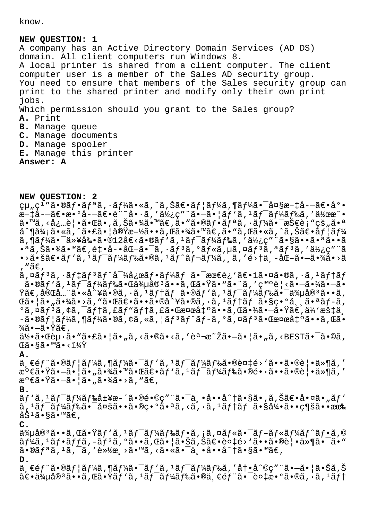know.

## **NEW QUESTION: 1**

A company has an Active Directory Domain Services (AD DS) domain. All client computers run Windows 8. A local printer is shared from a client computer. The client computer user is a member of the Sales AD security group. You need to ensure that members of the Sales security group can print to the shared printer and modify only their own print jobs. Which permission should you grant to the Sales group? **A.** Print **B.** Manage queue **C.** Manage documents **D.** Manage spooler **E.** Manage this printer **Answer: A**

**NEW QUESTION: 2**

 $\text{qu}_{n}$ çı"ã•®ãf•ãfªã,•ãf¼ã•«ã,^ã,Šã€•ãf¦ãf¼ã,¶ãf¼ã•¯å¤§æ-‡å-—〕底  $x-1a-\tilde{a}\epsilon\cdot x\cdot 9a-\tilde{a}\epsilon\cdot e$ .  $a\cdot x\cdot a$ , ' $a\cdot y\cdot c$ , ' $a\cdot z\cdot a$ , ' $a\cdot y\cdot a$ , ' $a\cdot z\cdot a$ , ' $a\cdot z\cdot a$ ã•™ã,<必覕㕌ã•,ã,Šã•¾ã•™ã€,ã•"㕮フリã,•ー㕯技è¡"çš"㕪  $a^T$ ¶å¾¡ã•«ã,^㕣㕦実æ-½ã••ã,Œã•¾ã•™ã€,ã•"ã,Œã•«ã,^ã,Šã€•ã $f$ |ã $f$ ¼  $\tilde{a}$ ,¶ã $f$ ¼ã•¯ä»¥å‰•ã•® $12$ å€<ã•®ã $f$ `ã, $1$ ã $f$ ¯ã $f$ ¼ã $f$ ‰ã,′使ç″¨ã•§ã••㕪ã••ã  $\cdot$ ªã,Šã $\cdot$ ¾ã $\cdot$ ™ã $\in$ ,é $\uparrow\cdot$ å- $\cdot$ åŒ-ã $\cdot$ ¯ $\tilde{a}$ , $\cdot$ ã $f$ ºã, $\circ$ ã $f$ «ã, $\mu$ ã, ¤ã $f$ ºã, ¤ã $f$ ºã,  $\cdot$ ã $\frac{1}{2}$ ¿ç″ ¨ã  $\cdot$ >ã $\cdot$ šã $\in$ •ã $f'$ ã,  $\cdot$ ã $f''$ ã $f''$ ã $f''$ ã $\in$ ã $f''$ ã $f''$ ã $f''$ ã $f''$ ã $f''$ ã $f''$ ã $f''$ ã, ã $f'$ é $>$ †ä $\cdot$ –å $\in$ –ã $\cdot$ ¾ã $\cdot$ ȋ , "ã€, ã,¤ãƒªã,∙デリãƒ^対応フーム㕯最è¿`〕1㕤ã•®ã,∙ã,ªãƒ†ãƒ  $\tilde{a}$ • $\tilde{a}f'$  $\tilde{a}f'$  $\tilde{a}f'$  $\tilde{a}f'$  $\tilde{a}f'$  $\tilde{a}g''$  $\tilde{a}g''$  $\tilde{a}g''$  $\tilde{a}g''$  $\tilde{a}g''$  $\tilde{a}g''$  $\tilde{a}g''$  $\tilde{a}g''$  $\tilde{a}g''$  $\tilde{a}g''$  $\tilde{a}g''$  $\tilde{a}g''$  $\tilde{a}g''$  $\tilde{a}g''$  $\tilde{a}g''$  $\tilde{a}g''$  $\$  $\ddot{\text{Y}}$ ã $\in$ ,完å…"ã•«å^¥ã•®ã,∙ã, $^1$ ã $f$ †ã $f$  ã•®ã $f$ 'ã, $^1$ ã $f^-$ ã $f$ ¼ã $f$ 䋥¯ä¼uå® $^3$ ã••ã,  $\mathbb{C}$ 㕦ã•"㕾ã•>ã, "ã• $\mathbb{C}$ ã $\in$ •ã••ã•®å^¥ã•®ã, •ã,  $1$ ã $f$ †ã $f$  ã•§ç•°å , 㕪ã $f$ -ã,  $^{\circ}$ ã,¤ã $f$  $^{\circ}$ ã,¢ã,¯ã $f$ †ã,£ã $f$ "ã $f$ †ã,£ã•Œæ¤œå $\ddagger$ °ã••ã,Œã•¾ã• $\ddot{\bullet}$ 㕟ã $\in$ ,ä¼ $^{\circ}$ æš $\ddagger$ ä  $-\tilde{a}$ •®ã $f$ ¦ã $f$ ¼ã,¶ã $f$ ¼ã•®ã,¢ã,«ã,¦ã $f$ ªã $f$ °ã $f$ −ã,ºã,¤ã $f$ 㕌検å $\ddagger$ ºã••ã,Œã•  $\frac{3}{4}$ ã • $-\tilde{a}$  • $\bar{Y}$ 〠, 何㕌赕ã• "㕣㕦ã• "ã, <㕮㕠<ã, '説æ~Žã•—㕦ã• "ã, <BESTã• -ã•©ã, Œã•§ã•™ã•‹ï¼Ÿ **A.**  $a, \epsilon f$ "ã•®ã $f$ |ã $f$ ¼ã,¶ã $f$ ¼ã•¯ã $f$ 'ã, $1$ ã $f$ ¯ã $f$ ¼ã $f$ 䋥®è¤ $\sharp$ é>'ã••ã•®è|•ä»¶ã,′ 満㕟㕖㕦ã•"㕾㕙㕌〕ãƒ'ã,1ワード㕮镕㕕㕮覕ä»¶ã,′  $\mathbb{R}^{\circ}$  $\in$ ã• $\tilde{\mathrm{Y}}$ ã• $-\tilde{\mathrm{a}}$ •  $|\tilde{\mathrm{a}} \cdot \tilde{\mathrm{a}}| \tilde{\mathrm{a}} \cdot \tilde{\mathrm{a}} \tilde{\mathrm{a}}$ » >ã, "ã $\infty$ , **B.**  $\tilde{a}f' \tilde{a}$ ,  $1 \tilde{a}f^- \tilde{a}f'$ k $\tilde{a}f$ & $\tilde{a}$ ±¥æ-´ã•®é•©ç"¨ã•¯ä¸•å••å^†ã•§ã•,ã,Šã€•啤ã•"ã $f'$  $\tilde{a}$ ,  $\tilde{a}$  $\tilde{f}$  $\tilde{a}$  $\tilde{f}$  $\tilde{a}$  $\tilde{f}$  $\tilde{a}$  $\tilde{f}$  $\tilde{a}$ ,  $\tilde{a}$   $\tilde{b}$   $\tilde{a}$   $\tilde{b}$   $\tilde{a}$   $\tilde{f}$   $\tilde{a}$   $\tilde{f}$   $\tilde{a}$   $\tilde{f}$   $\tilde{a}$   $\tilde{f}$   $\tilde{a}$   $\tilde{f}$   $\tilde{a}$   $\$ åŠ<sup>ı</sup>ã•§ã•™ã€, **C.**  $\ddot{a}$ 4 $\mu$ å $\ddot{a}$ 9 $\ddot{a}$  •  $\ddot{a}$ ,  $\ddot{a}$  •  $\ddot{a}$   $f$   $\ddot{a}$   $f$   $\ddot{a}$   $f$   $\ddot{a}$   $f$   $\ddot{a}$   $f$   $\ddot{a}$   $f$   $\ddot{a}$   $f$   $\ddot{a}$   $f$   $\ddot{a}$   $f$   $\ddot{a}$   $f$   $\ddot{a}$   $f$   $\ddot{a}$   $f$   $\ddot{a}$   $\tilde{a}f$ ¼ã,  $\tilde{a}f\cdot\tilde{a}f$ fã,  $-\tilde{a}f$  $\tilde{a}$ ,  $\tilde{a} \cdot \tilde{a}$ , ΋ $\cdot$  | ã $\cdot$ Šã, Šã $\in$ e $\tilde{a}$ t $\in$ s $\cdot$ v $\tilde{a} \cdot \tilde{a}$ on  $\tilde{a} \cdot \tilde{a}$ on  $\tilde{a}$ on  $\tilde{a}$ on  $\tilde{a}$ on  $\tilde{a}$ on  $\tilde{a}$ on  $\tilde{a}$ on  $\tilde{a}$ •®ã $f$ ªã,  $1$ ã,  $\tilde{a}$ , '軽æ $\tilde{a}$ , >ã•™ã, <ã•«ã• $\tilde{a}$ , •å••å $\hat{a}$ +ã•§ã•™ã $\in$ , **D.** 一部㕮ユーã,¶ãƒ¼ã•¯ãƒ'ã,ŀワードã,′冕å^©ç″¨ã•–㕦㕊ã,Š  $\widetilde{a} \in \widetilde{a}$  )  $\widetilde{a} \in \widetilde{a}$  ,  $\widetilde{a} \in \widetilde{a}$  ,  $\widetilde{a} \in \widetilde{a}$  ,  $\widetilde{a} \in \widetilde{a}$  ,  $\widetilde{a} \in \widetilde{a}$  ,  $\widetilde{a} \in \widetilde{a}$  ,  $\widetilde{a} \in \widetilde{a}$  ,  $\widetilde{a} \in \widetilde{a}$  ,  $\widetilde{a} \in \widetilde{a}$  ,  $\widetilde{a} \in \$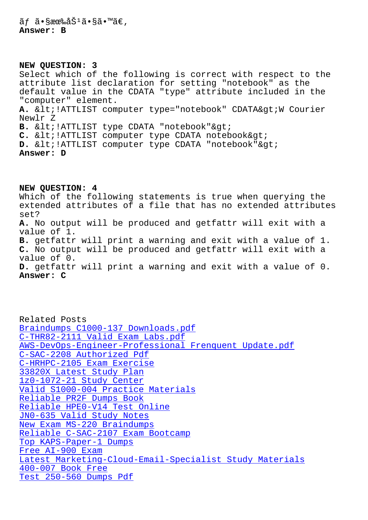## **NEW QUESTION: 3**

Select which of the following is correct with respect to the attribute list declaration for setting "notebook" as the default value in the CDATA "type" attribute included in the "computer" element. A. < !ATTLIST computer type="notebook" CDATA&qt; W Courier Newlr Z B. < !ATTLIST type CDATA "notebook" &gt; C. & lt; !ATTLIST computer type CDATA notebook> D. < !ATTLIST computer type CDATA "notebook" &gt; **Answer: D**

**NEW QUESTION: 4** Which of the following statements is true when querying the extended attributes of a file that has no extended attributes set? **A.** No output will be produced and getfattr will exit with a value of 1. **B.** getfattr will print a warning and exit with a value of 1. **C.** No output will be produced and getfattr will exit with a value of 0. **D.** getfattr will print a warning and exit with a value of 0. **Answer: C**

Related Posts Braindumps C1000-137 Downloads.pdf C-THR82-2111 Valid Exam Labs.pdf AWS-DevOps-Engineer-Professional Frenquent Update.pdf C-SAC-2208 Authorized Pdf [C-HRHPC-2105 Exam Exercise](http://tinova-japan.com/books/list-Braindumps--Downloads.pdf-383848/C1000-137-exam.html) [33820X Latest Study Plan](http://tinova-japan.com/books/list-Frenquent-Update.pdf-162627/AWS-DevOps-Engineer-Professional-exam.html) [1z0-1072-21 Study Center](http://tinova-japan.com/books/list-Authorized-Pdf-848405/C-SAC-2208-exam.html) [Valid S1000-004 Practice Ma](http://tinova-japan.com/books/list-Exam-Exercise-162627/C-HRHPC-2105-exam.html)terials [Reliable PR2F Dumps Book](http://tinova-japan.com/books/list-Latest-Study-Plan-272738/33820X-exam.html) Reliable HPE0-V14 Test Online [JN0-635 Valid Study Notes](http://tinova-japan.com/books/list-Study-Center-384040/1z0-1072-21-exam.html) [New Exam MS-220 Braindum](http://tinova-japan.com/books/list-Reliable--Dumps-Book-840505/PR2F-exam.html)[ps](http://tinova-japan.com/books/list-Valid--Practice-Materials-050515/S1000-004-exam.html) [Reliable C-SAC-2107 Exam Bootc](http://tinova-japan.com/books/list-Reliable--Test-Online-616262/HPE0-V14-exam.html)amp [Top KAPS-Paper-1 Dumps](http://tinova-japan.com/books/list-Valid-Study-Notes-838484/JN0-635-exam.html) Free AI-900 Exam [Latest Marketing-Cloud-Ema](http://tinova-japan.com/books/list-New-Exam--Braindumps-848405/MS-220-exam.html)[il-Spec](http://tinova-japan.com/books/list-Reliable--Exam-Bootcamp-272737/C-SAC-2107-exam.html)ialist Study Materials 400-007 Book Free [Test 250-560 Dum](http://tinova-japan.com/books/list-Free--Exam-838484/AI-900-exam.html)[ps Pdf](http://tinova-japan.com/books/list-Top--Dumps-161626/KAPS-Paper-1-exam.html)